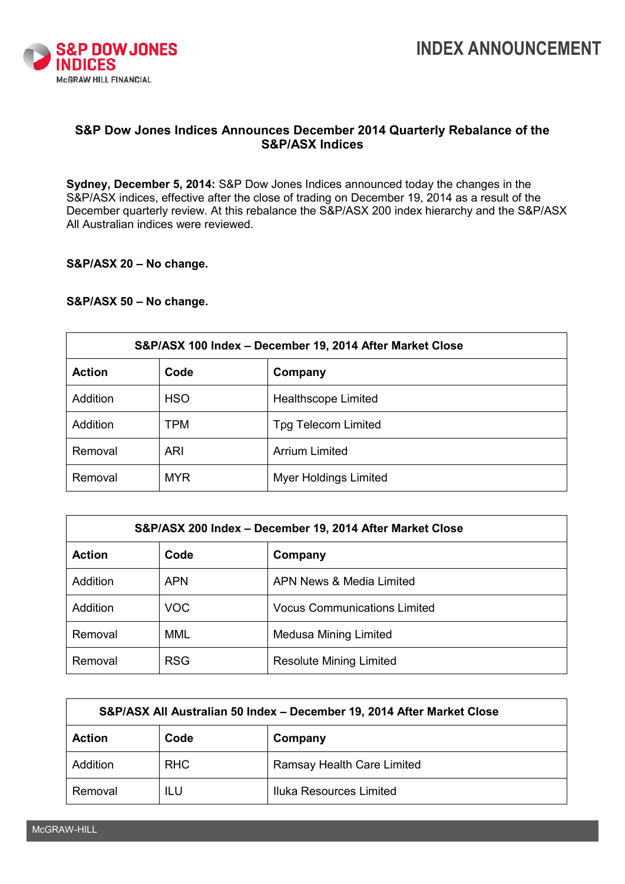

**INDEX ANNOUNCEMENT**

## **S&P Dow Jones Indices Announces December 2014 Quarterly Rebalance of the S&P/ASX Indices**

**Sydney, December 5, 2014:** S&P Dow Jones Indices announced today the changes in the S&P/ASX indices, effective after the close of trading on December 19, 2014 as a result of the December quarterly review. At this rebalance the S&P/ASX 200 index hierarchy and the S&P/ASX All Australian indices were reviewed.

## **S&P/ASX 20 – No change.**

## **S&P/ASX 50 – No change.**

| S&P/ASX 100 Index - December 19, 2014 After Market Close |            |                              |  |  |
|----------------------------------------------------------|------------|------------------------------|--|--|
| <b>Action</b>                                            | Code       | Company                      |  |  |
| Addition                                                 | <b>HSO</b> | Healthscope Limited          |  |  |
| <b>Addition</b>                                          | TPM        | <b>Tpg Telecom Limited</b>   |  |  |
| Removal                                                  | ARI        | <b>Arrium Limited</b>        |  |  |
| Removal                                                  | <b>MYR</b> | <b>Myer Holdings Limited</b> |  |  |

| S&P/ASX 200 Index - December 19, 2014 After Market Close |            |                                     |  |  |
|----------------------------------------------------------|------------|-------------------------------------|--|--|
| <b>Action</b>                                            | Code       | Company                             |  |  |
| Addition                                                 | <b>APN</b> | APN News & Media Limited            |  |  |
| <b>Addition</b>                                          | <b>VOC</b> | <b>Vocus Communications Limited</b> |  |  |
| Removal                                                  | MML        | <b>Medusa Mining Limited</b>        |  |  |
| Removal                                                  | <b>RSG</b> | <b>Resolute Mining Limited</b>      |  |  |

| S&P/ASX All Australian 50 Index - December 19, 2014 After Market Close |            |                            |  |  |
|------------------------------------------------------------------------|------------|----------------------------|--|--|
| <b>Action</b>                                                          | Code       | Company                    |  |  |
| Addition                                                               | <b>RHC</b> | Ramsay Health Care Limited |  |  |
| Removal                                                                | ILU        | Iluka Resources Limited    |  |  |